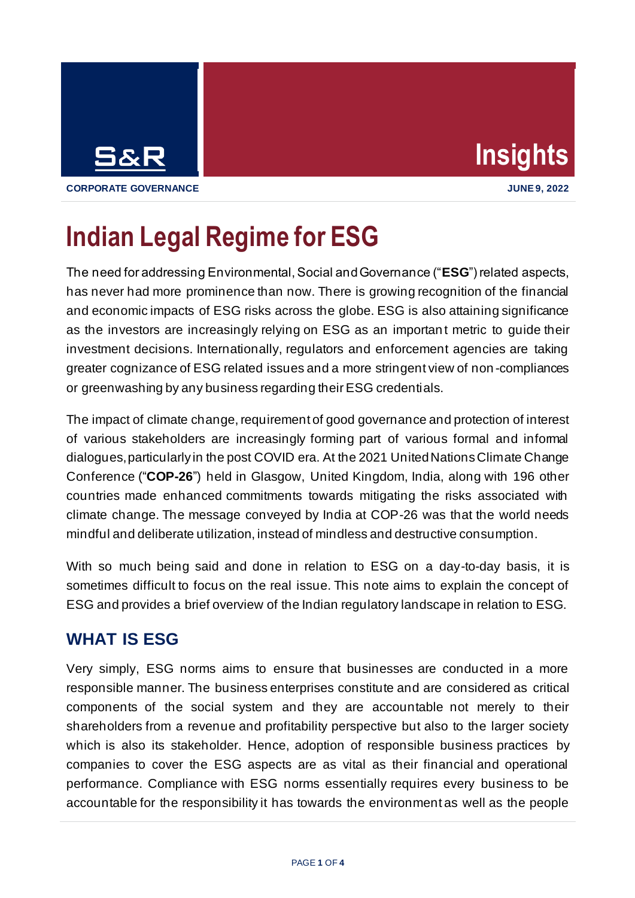



**CORPORATE GOVERNANCE JUNE 9, 2022**

## **Indian Legal Regime for ESG**

The need for addressing Environmental, Social and Governance ("**ESG**") related aspects, has never had more prominence than now. There is growing recognition of the financial and economic impacts of ESG risks across the globe. ESG is also attaining significance as the investors are increasingly relying on ESG as an important metric to guide their investment decisions. Internationally, regulators and enforcement agencies are taking greater cognizance of ESG related issues and a more stringent view of non -compliances or greenwashing by any business regarding their ESG credentials.

The impact of climate change, requirement of good governance and protection of interest of various stakeholders are increasingly forming part of various formal and informal dialogues, particularly in the post COVID era. At the 2021 United Nations Climate Change Conference ("**COP-26**") held in Glasgow, United Kingdom, India, along with 196 other countries made enhanced commitments towards mitigating the risks associated with climate change. The message conveyed by India at COP-26 was that the world needs mindful and deliberate utilization, instead of mindless and destructive consumption.

With so much being said and done in relation to ESG on a day-to-day basis, it is sometimes difficult to focus on the real issue. This note aims to explain the concept of ESG and provides a brief overview of the Indian regulatory landscape in relation to ESG.

## **WHAT IS ESG**

Very simply, ESG norms aims to ensure that businesses are conducted in a more responsible manner. The business enterprises constitute and are considered as critical components of the social system and they are accountable not merely to their shareholders from a revenue and profitability perspective but also to the larger society which is also its stakeholder. Hence, adoption of responsible business practices by companies to cover the ESG aspects are as vital as their financial and operational performance. Compliance with ESG norms essentially requires every business to be accountable for the responsibility it has towards the environment as well as the people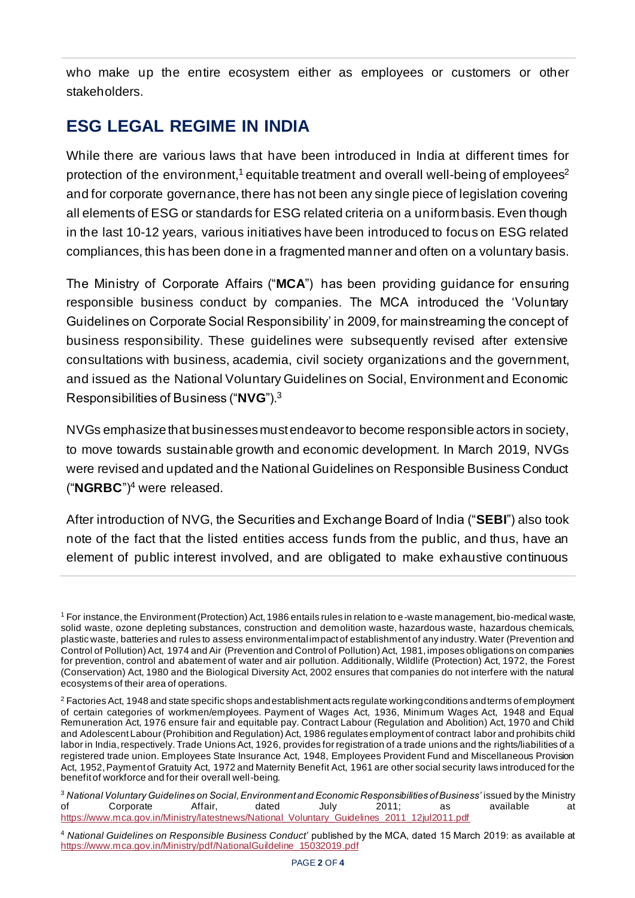who make up the entire ecosystem either as employees or customers or other stakeholders.

## **ESG LEGAL REGIME IN INDIA**

While there are various laws that have been introduced in India at different times for protection of the environment, $^{\text{1}}$  equitable treatment and overall well-being of employees $^{\text{2}}$ and for corporate governance, there has not been any single piece of legislation covering all elements of ESG or standards for ESG related criteria on a uniform basis. Even though in the last 10-12 years, various initiatives have been introduced to focus on ESG related compliances, this has been done in a fragmented manner and often on a voluntary basis.

The Ministry of Corporate Affairs ("**MCA**") has been providing guidance for ensuring responsible business conduct by companies. The MCA introduced the 'Voluntary Guidelines on Corporate Social Responsibility' in 2009, for mainstreaming the concept of business responsibility. These guidelines were subsequently revised after extensive consultations with business, academia, civil society organizations and the government, and issued as the National Voluntary Guidelines on Social, Environment and Economic Responsibilities of Business ("**NVG**"). 3

NVGs emphasize that businesses must endeavorto become responsible actors in society, to move towards sustainable growth and economic development. In March 2019, NVGs were revised and updated and the National Guidelines on Responsible Business Conduct ("**NGRBC**")<sup>4</sup> were released.

After introduction of NVG, the Securities and Exchange Board of India ("**SEBI**") also took note of the fact that the listed entities access funds from the public, and thus, have an element of public interest involved, and are obligated to make exhaustive continuous

<sup>1</sup> For instance, the Environment (Protection) Act, 1986 entails rules in relation to e-waste management, bio-medical waste, solid waste, ozone depleting substances, construction and demolition waste, hazardous waste, hazardous chemicals, plastic waste, batteries and rules to assess environmental impact of establishment of any industry. Water (Prevention and Control of Pollution) Act, 1974 and Air (Prevention and Control of Pollution) Act, 1981, imposes obligations on companies for prevention, control and abatement of water and air pollution. Additionally, Wildlife (Protection) Act, 1972, the Forest (Conservation) Act, 1980 and the Biological Diversity Act, 2002 ensures that companies do not interfere with the natural ecosystems of their area of operations.

<sup>&</sup>lt;sup>2</sup> Factories Act, 1948 and state specific shops and establishment acts regulate working conditions and terms of employment of certain categories of workmen/employees. Payment of Wages Act, 1936, Minimum Wages Act, 1948 and Equal Remuneration Act, 1976 ensure fair and equitable pay. Contract Labour (Regulation and Abolition) Act, 1970 and Child and Adolescent Labour (Prohibition and Regulation) Act, 1986 regulates employment of contract labor and prohibits child labor in India, respectively. Trade Unions Act, 1926, provides for registration of a trade unions and the rights/liabilities of a registered trade union. Employees State Insurance Act, 1948, Employees Provident Fund and Miscellaneous Provision Act, 1952, Payment of Gratuity Act, 1972 and Maternity Benefit Act, 1961 are other social security laws introduced for the benefit of workforce and for their overall well-being.

<sup>&</sup>lt;sup>3</sup> National Voluntary Guidelines on Social, Environment and Economic Responsibilities of Business' issued by the Ministry of Corporate Affair, dated July 2011; as available at [https://www.mca.gov.in/Ministry/latestnews/National\\_Voluntary\\_Guidelines\\_2011\\_12jul2011.pdf](https://www.mca.gov.in/Ministry/latestnews/National_Voluntary_Guidelines_2011_12jul2011.pdf)

<sup>4</sup> *National Guidelines on Responsible Business Conduct*' published by the MCA, dated 15 March 2019: as available at [https://www.mca.gov.in/Ministry/pdf/NationalGuildeline\\_15032019.pdf](https://www.mca.gov.in/Ministry/pdf/NationalGuildeline_15032019.pdf)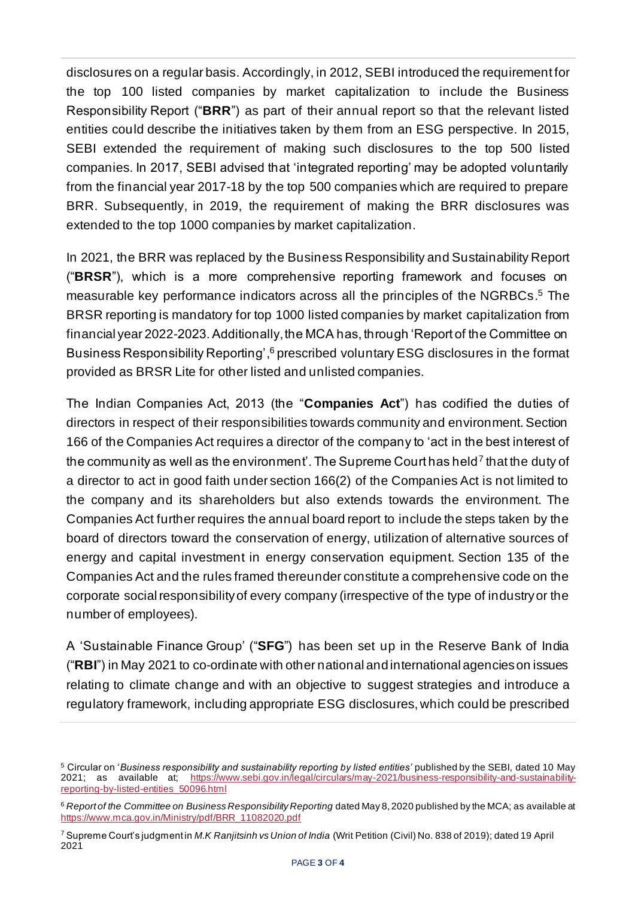disclosures on a regular basis. Accordingly, in 2012, SEBI introduced the requirement for the top 100 listed companies by market capitalization to include the Business Responsibility Report ("**BRR**") as part of their annual report so that the relevant listed entities could describe the initiatives taken by them from an ESG perspective. In 2015, SEBI extended the requirement of making such disclosures to the top 500 listed companies. In 2017, SEBI advised that 'integrated reporting' may be adopted voluntarily from the financial year 2017-18 by the top 500 companies which are required to prepare BRR. Subsequently, in 2019, the requirement of making the BRR disclosures was extended to the top 1000 companies by market capitalization.

In 2021, the BRR was replaced by the Business Responsibility and Sustainability Report ("**BRSR**"), which is a more comprehensive reporting framework and focuses on measurable key performance indicators across all the principles of the NGRBCs. <sup>5</sup> The BRSR reporting is mandatory for top 1000 listed companies by market capitalization from financial year 2022-2023. Additionally, the MCA has, through 'Report of the Committee on Business Responsibility Reporting', <sup>6</sup> prescribed voluntary ESG disclosures in the format provided as BRSR Lite for other listed and unlisted companies.

The Indian Companies Act, 2013 (the "**Companies Act**") has codified the duties of directors in respect of their responsibilities towards community and environment. Section 166 of the Companies Act requires a director of the company to 'act in the best interest of the community as well as the environment'. The Supreme Court has held<sup>7</sup> that the duty of a director to act in good faith under section 166(2) of the Companies Act is not limited to the company and its shareholders but also extends towards the environment. The Companies Act further requires the annual board report to include the steps taken by the board of directors toward the conservation of energy, utilization of alternative sources of energy and capital investment in energy conservation equipment. Section 135 of the Companies Act and the rules framed thereunder constitute a comprehensive code on the corporate social responsibility of every company (irrespective of the type of industry or the number of employees).

A 'Sustainable Finance Group' ("**SFG**") has been set up in the Reserve Bank of India ("**RBI**") in May 2021 to co-ordinate with other national and international agencies on issues relating to climate change and with an objective to suggest strategies and introduce a regulatory framework, including appropriate ESG disclosures, which could be prescribed

<sup>5</sup> Circular on '*Business responsibility and sustainability reporting by listed entities'* published by the SEBI, dated 10 May 2021; as available at; [https://www.sebi.gov.in/legal/circulars/may-2021/business-responsibility-and-sustainability](https://www.sebi.gov.in/legal/circulars/may-2021/business-responsibility-and-sustainability-reporting-by-listed-entities_50096.html)[reporting-by-listed-entities\\_50096.html](https://www.sebi.gov.in/legal/circulars/may-2021/business-responsibility-and-sustainability-reporting-by-listed-entities_50096.html)

<sup>6</sup> *Report of the Committee on Business Responsibility Reporting* dated May 8, 2020 published by the MCA; as available at [https://www.mca.gov.in/Ministry/pdf/BRR\\_11082020.pdf](https://www.mca.gov.in/Ministry/pdf/BRR_11082020.pdf)

<sup>7</sup> Supreme Court's judgment in *M.K Ranjitsinh vs Union of India* (Writ Petition (Civil) No. 838 of 2019); dated 19 April 2021